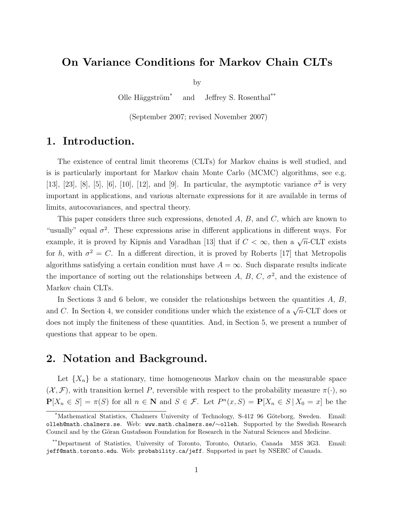# On Variance Conditions for Markov Chain CLTs

by

Olle Häggström<sup>\*</sup> and Jeffrey S. Rosenthal<sup>\*\*</sup>

(September 2007; revised November 2007)

# 1. Introduction.

The existence of central limit theorems (CLTs) for Markov chains is well studied, and is is particularly important for Markov chain Monte Carlo (MCMC) algorithms, see e.g. [13], [23], [8], [5], [6], [10], [12], and [9]. In particular, the asymptotic variance  $\sigma^2$  is very important in applications, and various alternate expressions for it are available in terms of limits, autocovariances, and spectral theory.

This paper considers three such expressions, denoted A, B, and C, which are known to "usually" equal  $\sigma^2$ . These expressions arise in different applications in different ways. For example, it is proved by Kipnis and Varadhan [13] that if  $C < \infty$ , then a  $\sqrt{n}$ -CLT exists for h, with  $\sigma^2 = C$ . In a different direction, it is proved by Roberts [17] that Metropolis algorithms satisfying a certain condition must have  $A = \infty$ . Such disparate results indicate the importance of sorting out the relationships between A, B, C,  $\sigma^2$ , and the existence of Markov chain CLTs.

In Sections 3 and 6 below, we consider the relationships between the quantities  $A, B$ , and C. In Section 4, we consider conditions under which the existence of a  $\sqrt{n}$ -CLT does or does not imply the finiteness of these quantities. And, in Section 5, we present a number of questions that appear to be open.

## 2. Notation and Background.

Let  $\{X_n\}$  be a stationary, time homogeneous Markov chain on the measurable space  $(\mathcal{X}, \mathcal{F})$ , with transition kernel P, reversible with respect to the probability measure  $\pi(\cdot)$ , so  $P[X_n \in S] = \pi(S)$  for all  $n \in \mathbb{N}$  and  $S \in \mathcal{F}$ . Let  $P^n(x, S) = P[X_n \in S | X_0 = x]$  be the

<sup>\*</sup>Mathematical Statistics, Chalmers University of Technology, S-412 96 Göteborg, Sweden. Email: olleh@math.chalmers.se. Web: www.math.chalmers.se/∼olleh. Supported by the Swedish Research Council and by the Göran Gustafsson Foundation for Research in the Natural Sciences and Medicine.

<sup>\*\*</sup>Department of Statistics, University of Toronto, Toronto, Ontario, Canada M5S 3G3. Email: jeff@math.toronto.edu. Web: probability.ca/jeff. Supported in part by NSERC of Canada.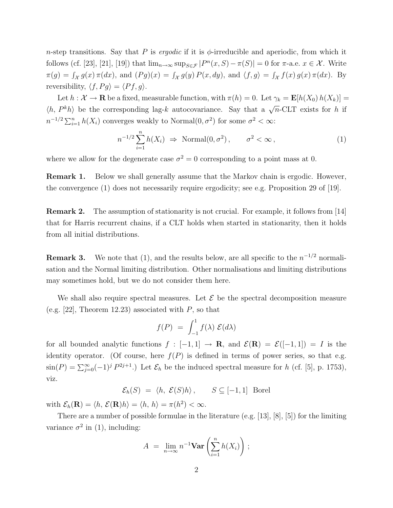n-step transitions. Say that P is *ergodic* if it is  $\phi$ -irreducible and aperiodic, from which it follows (cf. [23], [21], [19]) that  $\lim_{n\to\infty} \sup_{S \in \mathcal{F}} |P^n(x, S) - \pi(S)| = 0$  for  $\pi$ -a.e.  $x \in \mathcal{X}$ . Write  $\pi(g) = \int_{\mathcal{X}} g(x) \pi(dx)$ , and  $(Pg)(x) = \int_{\mathcal{X}} g(y) P(x, dy)$ , and  $\langle f, g \rangle = \int_{\mathcal{X}} f(x) g(x) \pi(dx)$ . By reversibility,  $\langle f, Pg \rangle = \langle Pf, g \rangle$ .

Let  $h: \mathcal{X} \to \mathbf{R}$  be a fixed, measurable function, with  $\pi(h) = 0$ . Let  $\gamma_k = \mathbf{E}[h(X_0) h(X_k)] =$  $\langle h, P^k h \rangle$  be the corresponding lag-k autocovariance. Say that a  $\sqrt{n}$ -CLT exists for h if  $n^{-1/2} \sum_{i=1}^{n} h(X_i)$  converges weakly to Normal $(0, \sigma^2)$  for some  $\sigma^2 < \infty$ :

$$
n^{-1/2} \sum_{i=1}^{n} h(X_i) \Rightarrow \text{Normal}(0, \sigma^2), \qquad \sigma^2 < \infty,
$$
\n<sup>(1)</sup>

where we allow for the degenerate case  $\sigma^2 = 0$  corresponding to a point mass at 0.

Remark 1. Below we shall generally assume that the Markov chain is ergodic. However, the convergence (1) does not necessarily require ergodicity; see e.g. Proposition 29 of [19].

Remark 2. The assumption of stationarity is not crucial. For example, it follows from [14] that for Harris recurrent chains, if a CLT holds when started in stationarity, then it holds from all initial distributions.

**Remark 3.** We note that (1), and the results below, are all specific to the  $n^{-1/2}$  normalisation and the Normal limiting distribution. Other normalisations and limiting distributions may sometimes hold, but we do not consider them here.

We shall also require spectral measures. Let  $\mathcal E$  be the spectral decomposition measure (e.g. [22], Theorem 12.23) associated with  $P$ , so that

$$
f(P) = \int_{-1}^{1} f(\lambda) \mathcal{E}(d\lambda)
$$

for all bounded analytic functions  $f : [-1,1] \rightarrow \mathbb{R}$ , and  $\mathcal{E}(\mathbb{R}) = \mathcal{E}([-1,1]) = I$  is the identity operator. (Of course, here  $f(P)$  is defined in terms of power series, so that e.g.  $\sin(P) = \sum_{j=0}^{\infty} (-1)^j P^{2j+1}$ .) Let  $\mathcal{E}_h$  be the induced spectral measure for h (cf. [5], p. 1753), viz.

$$
\mathcal{E}_h(S) = \langle h, \ \mathcal{E}(S)h \rangle, \qquad S \subseteq [-1,1] \ \text{Borel}
$$

with  $\mathcal{E}_h(\mathbf{R}) = \langle h, \mathcal{E}(\mathbf{R})h \rangle = \langle h, h \rangle = \pi(h^2) < \infty$ .

There are a number of possible formulae in the literature (e.g. [13], [8], [5]) for the limiting variance  $\sigma^2$  in (1), including:

$$
A = \lim_{n \to \infty} n^{-1} \mathbf{Var}\left(\sum_{i=1}^n h(X_i)\right);
$$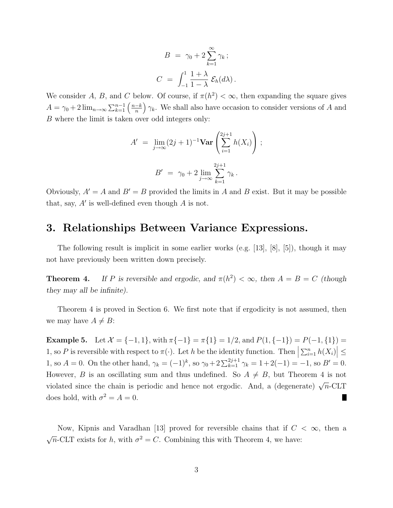$$
B = \gamma_0 + 2 \sum_{k=1}^{\infty} \gamma_k ;
$$
  

$$
C = \int_{-1}^{1} \frac{1+\lambda}{1-\lambda} \mathcal{E}_h(d\lambda) .
$$

We consider A, B, and C below. Of course, if  $\pi(h^2) < \infty$ , then expanding the square gives  $A = \gamma_0 + 2 \lim_{n \to \infty} \sum_{k=1}^{n-1} \left( \frac{n-k}{n} \right)$ n  $(\gamma_k)$ . We shall also have occasion to consider versions of A and B where the limit is taken over odd integers only:

$$
A' = \lim_{j \to \infty} (2j+1)^{-1} \mathbf{Var} \left( \sum_{i=1}^{2j+1} h(X_i) \right);
$$

$$
B' = \gamma_0 + 2 \lim_{j \to \infty} \sum_{k=1}^{2j+1} \gamma_k.
$$

Obviously,  $A' = A$  and  $B' = B$  provided the limits in A and B exist. But it may be possible that, say,  $A'$  is well-defined even though  $A$  is not.

## 3. Relationships Between Variance Expressions.

The following result is implicit in some earlier works (e.g. [13], [8], [5]), though it may not have previously been written down precisely.

**Theorem 4.** If P is reversible and ergodic, and  $\pi(h^2) < \infty$ , then  $A = B = C$  (though they may all be infinite).

Theorem 4 is proved in Section 6. We first note that if ergodicity is not assumed, then we may have  $A \neq B$ :

Example 5. Let  $\mathcal{X} = \{-1, 1\}$ , with  $\pi\{-1\} = \pi\{1\} = 1/2$ , and  $P(1, \{-1\}) = P(-1, \{1\}) =$ 1, so P is reversible with respect to  $\pi(\cdot)$ . Let h be the identity function. Then  $\left|\sum_{i=1}^n h(X_i)\right| \leq$ 1, so  $A = 0$ . On the other hand,  $\gamma_k = (-1)^k$ , so  $\gamma_0 + 2 \sum_{k=1}^{2j+1} \gamma_k = 1 + 2(-1) = -1$ , so  $B' = 0$ . However, B is an oscillating sum and thus undefined. So  $A \neq B$ , but Theorem 4 is not violated since the chain is periodic and hence not ergodic. And, a (degenerate)  $\sqrt{n}$ -CLT does hold, with  $\sigma^2 = A = 0$ . H.

Now, Kipnis and Varadhan [13] proved for reversible chains that if  $C < \infty$ , then a √  $\overline{n}$ -CLT exists for h, with  $\sigma^2 = C$ . Combining this with Theorem 4, we have: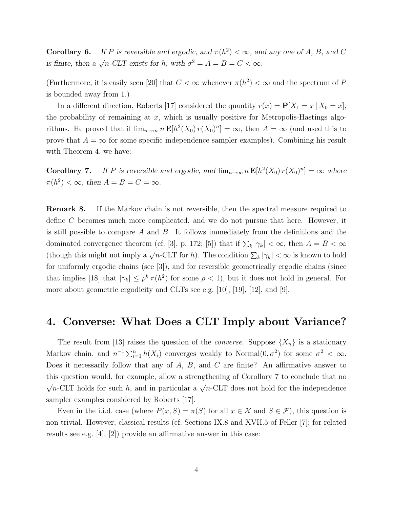**Corollary 6.** If P is reversible and ergodic, and  $\pi(h^2) < \infty$ , and any one of A, B, and C is finite, then a  $\sqrt{n}$ -CLT exists for h, with  $\sigma^2 = A = B = C < \infty$ .

(Furthermore, it is easily seen [20] that  $C < \infty$  whenever  $\pi(h^2) < \infty$  and the spectrum of P is bounded away from 1.)

In a different direction, Roberts [17] considered the quantity  $r(x) = P[X_1 = x | X_0 = x]$ , the probability of remaining at  $x$ , which is usually positive for Metropolis-Hastings algorithms. He proved that if  $\lim_{n\to\infty} n \mathbf{E}[h^2(X_0) r(X_0)^n] = \infty$ , then  $A = \infty$  (and used this to prove that  $A = \infty$  for some specific independence sampler examples). Combining his result with Theorem 4, we have:

**Corollary 7.** If P is reversible and ergodic, and  $\lim_{n\to\infty} n \mathbf{E}[h^2(X_0) r(X_0)^n] = \infty$  where  $\pi(h^2) < \infty$ , then  $A = B = C = \infty$ .

Remark 8. If the Markov chain is not reversible, then the spectral measure required to define C becomes much more complicated, and we do not pursue that here. However, it is still possible to compare  $A$  and  $B$ . It follows immediately from the definitions and the dominated convergence theorem (cf. [3], p. 172; [5]) that if  $\sum_{k} |\gamma_k| < \infty$ , then  $A = B < \infty$ (though this might not imply a  $\sqrt{n}$ -CLT for h). The condition  $\sum_{k} |\gamma_{k}| < \infty$  is known to hold for uniformly ergodic chains (see [3]), and for reversible geometrically ergodic chains (since that implies [18] that  $|\gamma_k| \leq \rho^k \pi(h^2)$  for some  $\rho < 1$ , but it does not hold in general. For more about geometric ergodicity and CLTs see e.g. [10], [19], [12], and [9].

#### 4. Converse: What Does a CLT Imply about Variance?

The result from [13] raises the question of the *converse*. Suppose  $\{X_n\}$  is a stationary Markov chain, and  $n^{-1} \sum_{i=1}^{n} h(X_i)$  converges weakly to Normal $(0, \sigma^2)$  for some  $\sigma^2 < \infty$ . Does it necessarily follow that any of  $A$ ,  $B$ , and  $C$  are finite? An affirmative answer to this question would, for example, allow a strengthening of Corollary 7 to conclude that no  $\sqrt{n}$ -CLT holds for such h, and in particular a  $\sqrt{n}$ -CLT does not hold for the independence sampler examples considered by Roberts [17].

Even in the i.i.d. case (where  $P(x, S) = \pi(S)$  for all  $x \in \mathcal{X}$  and  $S \in \mathcal{F}$ ), this question is non-trivial. However, classical results (cf. Sections IX.8 and XVII.5 of Feller [7]; for related results see e.g. [4], [2]) provide an affirmative answer in this case: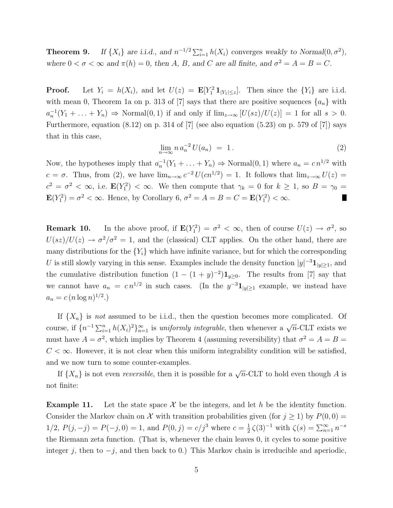**Theorem 9.** If  $\{X_i\}$  are i.i.d., and  $n^{-1/2} \sum_{i=1}^n h(X_i)$  converges weakly to Normal $(0, \sigma^2)$ , where  $0 < \sigma < \infty$  and  $\pi(h) = 0$ , then A, B, and C are all finite, and  $\sigma^2 = A = B = C$ .

**Proof.** Let  $Y_i = h(X_i)$ , and let  $U(z) = \mathbf{E}[Y_1^2 \mathbf{1}_{|Y_1| \leq z}]$ . Then since the  $\{Y_i\}$  are i.i.d. with mean 0, Theorem 1a on p. 313 of [7] says that there are positive sequences  $\{a_n\}$  with  $a_n^{-1}(Y_1 + \ldots + Y_n) \Rightarrow \text{Normal}(0, 1)$  if and only if  $\lim_{z \to \infty} [U(sz)/U(z)] = 1$  for all  $s > 0$ . Furthermore, equation  $(8.12)$  on p. 314 of [7] (see also equation  $(5.23)$  on p. 579 of [7]) says that in this case,

$$
\lim_{n \to \infty} n a_n^{-2} U(a_n) = 1. \tag{2}
$$

Now, the hypotheses imply that  $a_n^{-1}(Y_1 + \ldots + Y_n) \Rightarrow \text{Normal}(0, 1)$  where  $a_n = c n^{1/2}$  with  $c = \sigma$ . Thus, from (2), we have  $\lim_{n\to\infty} c^{-2} U(cn^{1/2}) = 1$ . It follows that  $\lim_{z\to\infty} U(z) =$  $c^2 = \sigma^2 < \infty$ , i.e.  $\mathbf{E}(Y_1^2) < \infty$ . We then compute that  $\gamma_k = 0$  for  $k \ge 1$ , so  $B = \gamma_0 =$  $\mathbf{E}(Y_1^2) = \sigma^2 < \infty$ . Hence, by Corollary 6,  $\sigma^2 = A = B = C = \mathbf{E}(Y_1^2) < \infty$ . I.

**Remark 10.** In the above proof, if  $\mathbf{E}(Y_1^2) = \sigma^2 < \infty$ , then of course  $U(z) \to \sigma^2$ , so  $U(sz)/U(z) \rightarrow \sigma^2/\sigma^2 = 1$ , and the (classical) CLT applies. On the other hand, there are many distributions for the  ${Y_i}$  which have infinite variance, but for which the corresponding U is still slowly varying in this sense. Examples include the density function  $|y|^{-3} \mathbf{1}_{|y|\geq 1}$ , and the cumulative distribution function  $(1 - (1 + y)^{-2})\mathbf{1}_{y\geq 0}$ . The results from [7] say that we cannot have  $a_n = c n^{1/2}$  in such cases. (In the  $y^{-3} \mathbf{1}_{|y| \geq 1}$  example, we instead have  $a_n = c (n \log n)^{1/2}$ .

If  $\{X_n\}$  is not assumed to be i.i.d., then the question becomes more complicated. Of course, if  $\{n^{-1}\sum_{i=1}^n h(X_i)^2\}_{n=1}^\infty$  is uniformly integrable, then whenever a  $\sqrt{n}$ -CLT exists we must have  $A = \sigma^2$ , which implies by Theorem 4 (assuming reversibility) that  $\sigma^2 = A = B =$  $C < \infty$ . However, it is not clear when this uniform integrability condition will be satisfied, and we now turn to some counter-examples.

If  $\{X_n\}$  is not even *reversible*, then it is possible for a  $\sqrt{n}$ -CLT to hold even though A is not finite:

**Example 11.** Let the state space  $\mathcal{X}$  be the integers, and let h be the identity function. Consider the Markov chain on X with transition probabilities given (for  $j \ge 1$ ) by  $P(0,0) =$  $1/2, P(j, -j) = P(-j, 0) = 1$ , and  $P(0, j) = c/j^3$  where  $c = \frac{1}{2}$  $\frac{1}{2}\zeta(3)^{-1}$  with  $\zeta(s) = \sum_{n=1}^{\infty} n^{-s}$ the Riemann zeta function. (That is, whenever the chain leaves 0, it cycles to some positive integer j, then to  $-j$ , and then back to 0.) This Markov chain is irreducible and aperiodic,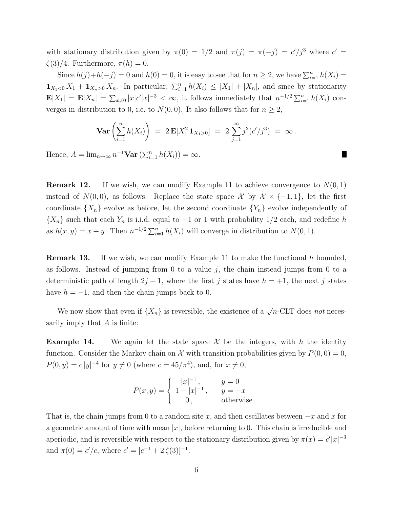with stationary distribution given by  $\pi(0) = 1/2$  and  $\pi(j) = \pi(-j) = c'/j^3$  where  $c' =$  $\zeta(3)/4$ . Furthermore,  $\pi(h) = 0$ .

Since  $h(j)+h(-j) = 0$  and  $h(0) = 0$ , it is easy to see that for  $n \geq 2$ , we have  $\sum_{i=1}^{n} h(X_i) =$  $\mathbf{1}_{X_1<0} X_1 + \mathbf{1}_{X_n>0} X_n$ . In particular,  $\sum_{i=1}^n h(X_i) \leq |X_1| + |X_n|$ , and since by stationarity  $\mathbf{E}|X_1| = \mathbf{E}|X_n| = \sum_{x\neq 0} |x|c'|x|^{-3} < \infty$ , it follows immediately that  $n^{-1/2} \sum_{i=1}^n h(X_i)$  converges in distribution to 0, i.e. to  $N(0, 0)$ . It also follows that for  $n \geq 2$ ,

$$
\operatorname{Var}\left(\sum_{i=1}^n h(X_i)\right) \;=\; 2\, \mathbf{E}[X_1^2 \,\mathbf{1}_{X_1>0}] \;=\; 2\, \sum_{j=1}^\infty j^2 (c'/j^3) \;=\; \infty\,.
$$

п

Hence,  $A = \lim_{n \to \infty} n^{-1} \textbf{Var} \left( \sum_{i=1}^n h(X_i) \right) = \infty$ .

**Remark 12.** If we wish, we can modify Example 11 to achieve convergence to  $N(0, 1)$ instead of  $N(0, 0)$ , as follows. Replace the state space X by  $\mathcal{X} \times \{-1, 1\}$ , let the first coordinate  $\{X_n\}$  evolve as before, let the second coordinate  $\{Y_n\}$  evolve independently of  $\{X_n\}$  such that each  $Y_n$  is i.i.d. equal to  $-1$  or 1 with probability 1/2 each, and redefine h as  $h(x, y) = x + y$ . Then  $n^{-1/2} \sum_{i=1}^{n} h(X_i)$  will converge in distribution to  $N(0, 1)$ .

**Remark 13.** If we wish, we can modify Example 11 to make the functional h bounded, as follows. Instead of jumping from 0 to a value  $j$ , the chain instead jumps from 0 to a deterministic path of length  $2j + 1$ , where the first j states have  $h = +1$ , the next j states have  $h = -1$ , and then the chain jumps back to 0.

We now show that even if  $\{X_n\}$  is reversible, the existence of a  $\sqrt{n}$ -CLT does not necessarily imply that A is finite:

**Example 14.** We again let the state space  $\mathcal{X}$  be the integers, with h the identity function. Consider the Markov chain on X with transition probabilities given by  $P(0, 0) = 0$ ,  $P(0, y) = c |y|^{-4}$  for  $y \neq 0$  (where  $c = 45/\pi^4$ ), and, for  $x \neq 0$ ,

$$
P(x,y) = \begin{cases} |x|^{-1}, & y = 0\\ 1 - |x|^{-1}, & y = -x\\ 0, & \text{otherwise.} \end{cases}
$$

That is, the chain jumps from 0 to a random site x, and then oscillates between  $-x$  and x for a geometric amount of time with mean  $|x|$ , before returning to 0. This chain is irreducible and aperiodic, and is reversible with respect to the stationary distribution given by  $\pi(x) = c'|x|^{-3}$ and  $\pi(0) = c'/c$ , where  $c' = [c^{-1} + 2\zeta(3)]^{-1}$ .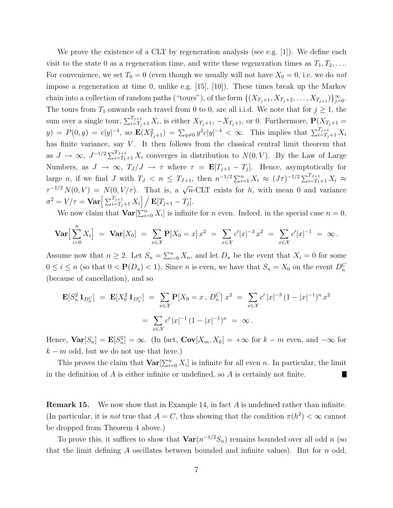We prove the existence of a CLT by regeneration analysis (see e.g. [1]). We define each visit to the state 0 as a regeneration time, and write these regeneration times as  $T_1, T_2, \ldots$ For convenience, we set  $T_0 = 0$  (even though we usually will not have  $X_0 = 0$ , i.e. we do not impose a regeneration at time 0, unlike e.g. [15], [10]). These times break up the Markov chain into a collection of random paths ("tours"), of the form  $\{(X_{T_j+1}, X_{T_j+2}, \ldots, X_{T_{j+1}})\}_{j=0}^{\infty}$ . The tours from  $T_1$  onwards each travel from 0 to 0, are all i.i.d. We note that for  $j \ge 1$ , the sum over a single tour,  $\sum_{i=T_j+1}^{T_{j+1}} X_i$ , is either  $X_{T_j+1}$ ,  $-X_{T_j+1}$ , or 0. Furthermore,  $\mathbf{P}(X_{T_j+1} =$  $y) = P(0, y) = c|y|^{-4}$ , so  $\mathbf{E}(X_{T_j+1}^2) = \sum_{y\neq 0} y^2 c|y|^{-4} < \infty$ . This implies that  $\sum_{i=T_j+1}^{T_{j+1}} X_i$ has finite variance, say  $V$ . It then follows from the classical central limit theorem that as  $J \to \infty$ ,  $J^{-1/2} \sum_{i=T_1+1}^{T_{J+1}} X_i$  converges in distribution to  $N(0, V)$ . By the Law of Large Numbers, as  $J \to \infty$ ,  $T_J/J \to \tau$  where  $\tau = \mathbf{E}[T_{j+1} - T_j]$ . Hence, asymptotically for large *n*, if we find *J* with  $T_J < n \leq T_{J+1}$ , then  $n^{-1/2} \sum_{i=1}^n X_i \approx (J\tau)^{-1/2} \sum_{i=T_1+1}^{T_{J+1}} X_i \approx$  $\tau^{-1/2} N(0, V) = N(0, V/\tau)$ . That is, a  $\sqrt{n}$ -CLT exists for h, with mean 0 and variance  $\sigma^2 = V/\tau = \textbf{Var}\Big[\sum_{i=T_j+1}^{T_{j+1}}X_i\Big] \Big/\,\mathbf{E}[T_{j+1}-T_j].$ 

We now claim that  $\text{Var}[\sum_{i=0}^{n} X_i]$  is infinite for *n* even. Indeed, in the special case  $n = 0$ ,

$$
\mathbf{Var}\Big[\sum_{i=0}^n X_i\Big] = \mathbf{Var}[X_0] = \sum_{x \in \mathcal{X}} \mathbf{P}[X_0 = x] x^2 = \sum_{x \in \mathcal{X}} c' |x|^{-3} x^2 = \sum_{x \in \mathcal{X}} c' |x|^{-1} = \infty.
$$

Assume now that  $n \geq 2$ . Let  $S_n = \sum_{i=0}^n X_n$ , and let  $D_n$  be the event that  $X_i = 0$  for some  $0 \leq i \leq n$  (so that  $0 < \mathbf{P}(D_n) < 1$ ). Since *n* is even, we have that  $S_n = X_0$  on the event  $D_n^C$ (because of cancellation), and so

$$
\mathbf{E}[S_n^2 \mathbf{1}_{D_n^C}] = \mathbf{E}[X_0^2 \mathbf{1}_{D_n^C}] = \sum_{x \in \mathcal{X}} \mathbf{P}[X_0 = x, D_n^C] x^2 = \sum_{x \in \mathcal{X}} c' |x|^{-3} (1 - |x|^{-1})^n x^2
$$

$$
= \sum_{x \in \mathcal{X}} c' |x|^{-1} (1 - |x|^{-1})^n = \infty.
$$

Hence,  $\text{Var}[S_n] = \mathbf{E}[S_n^2] = \infty$ . (In fact,  $\text{Cov}[X_m, X_k] = +\infty$  for  $k - m$  even, and  $-\infty$  for  $k - m$  odd, but we do not use that here.)

This proves the claim that  $\text{Var}[\sum_{i=0}^{n} X_i]$  is infinite for all even n. In particular, the limit in the definition of  $A$  is either infinite or undefined, so  $A$  is certainly not finite. п

**Remark 15.** We now show that in Example 14, in fact A is undefined rather than infinite. (In particular, it is *not* true that  $A = C$ , thus showing that the condition  $\pi(h^2) < \infty$  cannot be dropped from Theorem 4 above.)

To prove this, it suffices to show that  $\text{Var}(n^{-1/2}S_n)$  remains bounded over all odd n (so that the limit defining A oscillates between bounded and infinite values). But for  $n$  odd,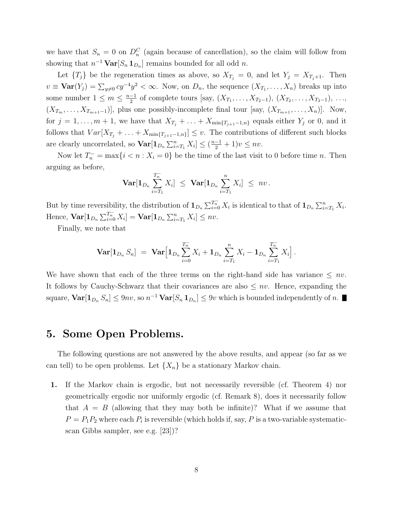we have that  $S_n = 0$  on  $D_n^C$  (again because of cancellation), so the claim will follow from showing that  $n^{-1} \text{Var}[S_n \mathbf{1}_{D_n}]$  remains bounded for all odd n.

Let  ${T<sub>j</sub>}$  be the regeneration times as above, so  $X_{T<sub>j</sub>} = 0$ , and let  $Y<sub>j</sub> = X_{T<sub>j+1</sub>}$ . Then  $v \equiv \text{Var}(Y_j) = \sum_{y \neq 0} cy^{-4}y^2 < \infty$ . Now, on  $D_n$ , the sequence  $(X_{T_1},...,X_n)$  breaks up into some number  $1 \leq m \leq \frac{n-1}{2}$  $\frac{-1}{2}$  of complete tours [say,  $(X_{T_1},...,X_{T_2-1}), (X_{T_2},...,X_{T_3-1}), ...,$  $(X_{T_m},\ldots,X_{T_{m+1}-1})$ , plus one possibly-incomplete final tour [say,  $(X_{T_{m+1}},\ldots,X_n)$ ]. Now, for  $j = 1, \ldots, m + 1$ , we have that  $X_{T_j} + \ldots + X_{\min\{T_{j+1}-1,n\}}$  equals either  $Y_j$  or 0, and it follows that  $Var[X_{T_j} + ... + X_{\min{T_{j+1}-1,n}}] \leq v$ . The contributions of different such blocks are clearly uncorrelated, so  $\text{Var}[\mathbf{1}_{D_n}\sum_{i=T_1}^n X_i] \leq (\frac{n-1}{2}+1)v \leq nv$ .

Now let  $T_n^- = \max\{i \le n : X_i = 0\}$  be the time of the last visit to 0 before time n. Then arguing as before,

$$
\mathbf{Var}[\mathbf{1}_{D_n}\sum_{i=T_1}^{T_n^-}X_i] \ \leq \ \mathbf{Var}[\mathbf{1}_{D_n}\sum_{i=T_1}^nX_i] \ \leq \ n v \, .
$$

But by time reversibility, the distribution of  $\mathbf{1}_{D_n}\sum_{i=0}^{T_n^-} X_i$  is identical to that of  $\mathbf{1}_{D_n}\sum_{i=T_1}^n X_i$ . Hence,  $\text{Var}[\mathbf{1}_{D_n} \sum_{i=0}^{T_n} X_i] = \text{Var}[\mathbf{1}_{D_n} \sum_{i=T_1}^n X_i] \leq nv.$ 

Finally, we note that

$$
\mathbf{Var}[\mathbf{1}_{D_n} S_n] = \mathbf{Var} \Big[\mathbf{1}_{D_n} \sum_{i=0}^{T_n^-} X_i + \mathbf{1}_{D_n} \sum_{i=T_1}^n X_i - \mathbf{1}_{D_n} \sum_{i=T_1}^{T_n^-} X_i \Big].
$$

We have shown that each of the three terms on the right-hand side has variance  $\leq nv$ . It follows by Cauchy-Schwarz that their covariances are also  $\leq nv$ . Hence, expanding the square,  $\text{Var}[\mathbf{1}_{D_n} S_n] \leq 9nv$ , so  $n^{-1} \text{Var}[S_n \mathbf{1}_{D_n}] \leq 9v$  which is bounded independently of n.

#### 5. Some Open Problems.

The following questions are not answered by the above results, and appear (so far as we can tell) to be open problems. Let  $\{X_n\}$  be a stationary Markov chain.

1. If the Markov chain is ergodic, but not necessarily reversible (cf. Theorem 4) nor geometrically ergodic nor uniformly ergodic (cf. Remark 8), does it necessarily follow that  $A = B$  (allowing that they may both be infinite)? What if we assume that  $P = P_1 P_2$  where each  $P_i$  is reversible (which holds if, say, P is a two-variable systematicscan Gibbs sampler, see e.g. [23])?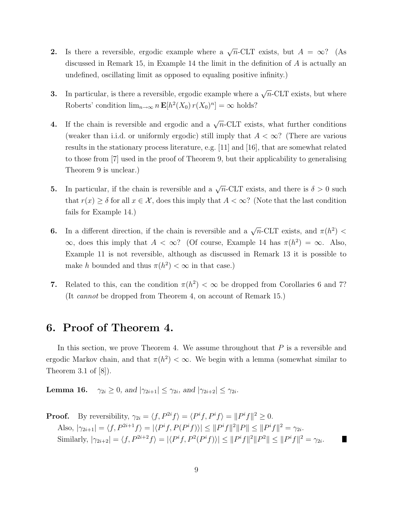- 2. Is there a reversible, ergodic example where a  $\sqrt{n}$ -CLT exists, but  $A = \infty$ ? (As discussed in Remark 15, in Example 14 the limit in the definition of  $A$  is actually an undefined, oscillating limit as opposed to equaling positive infinity.)
- **3.** In particular, is there a reversible, ergodic example where a  $\sqrt{n}$ -CLT exists, but where Roberts' condition  $\lim_{n\to\infty} n \mathbf{E}[h^2(X_0) r(X_0)^n] = \infty$  holds?
- 4. If the chain is reversible and ergodic and a  $\sqrt{n}$ -CLT exists, what further conditions (weaker than i.i.d. or uniformly ergodic) still imply that  $A < \infty$ ? (There are various results in the stationary process literature, e.g. [11] and [16], that are somewhat related to those from [7] used in the proof of Theorem 9, but their applicability to generalising Theorem 9 is unclear.)
- **5.** In particular, if the chain is reversible and a  $\sqrt{n}$ -CLT exists, and there is  $\delta > 0$  such that  $r(x) \geq \delta$  for all  $x \in \mathcal{X}$ , does this imply that  $A < \infty$ ? (Note that the last condition fails for Example 14.)
- **6.** In a different direction, if the chain is reversible and a  $\sqrt{n}$ -CLT exists, and  $\pi(h^2)$  <  $\infty$ , does this imply that  $A < \infty$ ? (Of course, Example 14 has  $\pi(h^2) = \infty$ . Also, Example 11 is not reversible, although as discussed in Remark 13 it is possible to make h bounded and thus  $\pi(h^2) < \infty$  in that case.)
- 7. Related to this, can the condition  $\pi(h^2) < \infty$  be dropped from Corollaries 6 and 7? (It cannot be dropped from Theorem 4, on account of Remark 15.)

# 6. Proof of Theorem 4.

In this section, we prove Theorem 4. We assume throughout that  $P$  is a reversible and ergodic Markov chain, and that  $\pi(h^2) < \infty$ . We begin with a lemma (somewhat similar to Theorem 3.1 of [8]).

**Lemma 16.**  $\gamma_{2i} \geq 0$ , and  $|\gamma_{2i+1}| \leq \gamma_{2i}$ , and  $|\gamma_{2i+2}| \leq \gamma_{2i}$ .

**Proof.** By reversibility, 
$$
\gamma_{2i} = \langle f, P^{2i} f \rangle = \langle P^i f, P^i f \rangle = ||P^i f||^2 \ge 0.
$$
 Also,  $|\gamma_{2i+1}| = \langle f, P^{2i+1} f \rangle = |\langle P^i f, P(P^i f) \rangle| \le ||P^i f||^2 ||P|| \le ||P^i f||^2 = \gamma_{2i}.$  Similarly,  $|\gamma_{2i+2}| = \langle f, P^{2i+2} f \rangle = |\langle P^i f, P^2 (P^i f) \rangle| \le ||P^i f||^2 ||P^2|| \le ||P^i f||^2 = \gamma_{2i}.$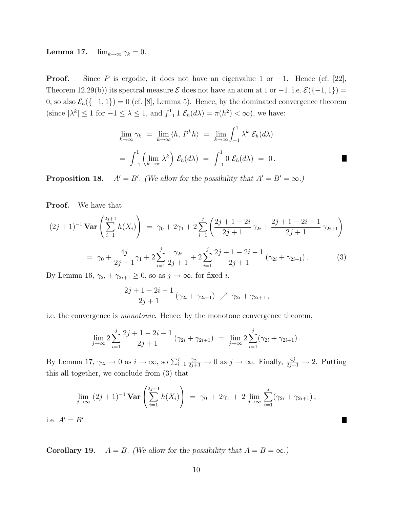**Lemma 17.**  $\lim_{k\to\infty} \gamma_k = 0$ .

**Proof.** Since P is ergodic, it does not have an eigenvalue 1 or  $-1$ . Hence (cf. [22], Theorem 12.29(b)) its spectral measure  $\mathcal E$  does not have an atom at 1 or  $-1$ , i.e.  $\mathcal E({-1, 1})$  = 0, so also  $\mathcal{E}_h({-1, 1}) = 0$  (cf. [8], Lemma 5). Hence, by the dominated convergence theorem (since  $|\lambda^k| \leq 1$  for  $-1 \leq \lambda \leq 1$ , and  $\int_{-1}^{1} 1 \mathcal{E}_h(d\lambda) = \pi(h^2) < \infty$ ), we have:

$$
\lim_{k \to \infty} \gamma_k = \lim_{k \to \infty} \langle h, P^k h \rangle = \lim_{k \to \infty} \int_{-1}^1 \lambda^k \mathcal{E}_h(d\lambda)
$$
  
= 
$$
\int_{-1}^1 \left( \lim_{k \to \infty} \lambda^k \right) \mathcal{E}_h(d\lambda) = \int_{-1}^1 0 \mathcal{E}_h(d\lambda) = 0.
$$

Proposition 18.  $A' = B'$ . (We allow for the possibility that  $A' = B' = \infty$ .)

Proof. We have that

$$
(2j+1)^{-1} \operatorname{Var}\left(\sum_{i=1}^{2j+1} h(X_i)\right) = \gamma_0 + 2\gamma_1 + 2\sum_{i=1}^j \left(\frac{2j+1-2i}{2j+1}\gamma_{2i} + \frac{2j+1-2i-1}{2j+1}\gamma_{2i+1}\right)
$$

$$
= \gamma_0 + \frac{4j}{2j+1}\gamma_1 + 2\sum_{i=1}^j \frac{\gamma_{2i}}{2j+1} + 2\sum_{i=1}^j \frac{2j+1-2i-1}{2j+1}\left(\gamma_{2i} + \gamma_{2i+1}\right). \tag{3}
$$

By Lemma 16,  $\gamma_{2i} + \gamma_{2i+1} \geq 0$ , so as  $j \to \infty$ , for fixed *i*,

$$
\frac{2j+1-2i-1}{2j+1}(\gamma_{2i}+\gamma_{2i+1}) \nearrow \gamma_{2i}+\gamma_{2i+1},
$$

i.e. the convergence is monotonic. Hence, by the monotone convergence theorem,

$$
\lim_{j \to \infty} 2 \sum_{i=1}^j \frac{2j+1-2i-1}{2j+1} (\gamma_{2i} + \gamma_{2i+1}) = \lim_{j \to \infty} 2 \sum_{i=1}^j (\gamma_{2i} + \gamma_{2i+1}).
$$

By Lemma 17,  $\gamma_{2i} \to 0$  as  $i \to \infty$ , so  $\sum_{i=1}^{j} \frac{\gamma_{2i}}{2j+1} \to 0$  as  $j \to \infty$ . Finally,  $\frac{4j}{2j+1} \to 2$ . Putting this all together, we conclude from (3) that

$$
\lim_{j \to \infty} (2j+1)^{-1} \mathbf{Var}\left(\sum_{i=1}^{2j+1} h(X_i)\right) = \gamma_0 + 2\gamma_1 + 2 \lim_{j \to \infty} \sum_{i=1}^j (\gamma_{2i} + \gamma_{2i+1}),
$$

H

i.e.  $A' = B'$ .

**Corollary 19.**  $A = B$ . (We allow for the possibility that  $A = B = \infty$ .)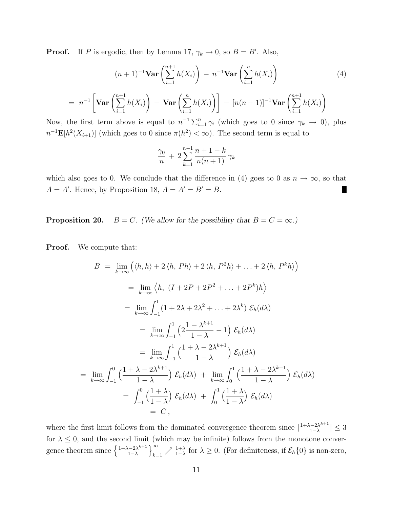**Proof.** If P is ergodic, then by Lemma 17,  $\gamma_k \to 0$ , so  $B = B'$ . Also,

$$
(n+1)^{-1} \mathbf{Var}\left(\sum_{i=1}^{n+1} h(X_i)\right) - n^{-1} \mathbf{Var}\left(\sum_{i=1}^{n} h(X_i)\right) \tag{4}
$$

$$
= n^{-1} \left[ \textbf{Var} \left( \sum_{i=1}^{n+1} h(X_i) \right) - \textbf{Var} \left( \sum_{i=1}^{n} h(X_i) \right) \right] - [n(n+1)]^{-1} \textbf{Var} \left( \sum_{i=1}^{n+1} h(X_i) \right)
$$

Now, the first term above is equal to  $n^{-1} \sum_{i=1}^{n} \gamma_i$  (which goes to 0 since  $\gamma_k \to 0$ ), plus  $n^{-1} \mathbf{E}[h^2(X_{i+1})]$  (which goes to 0 since  $\pi(h^2) < \infty$ ). The second term is equal to

$$
\frac{\gamma_0}{n} + 2\sum_{k=1}^{n-1} \frac{n+1-k}{n(n+1)} \,\gamma_k
$$

which also goes to 0. We conclude that the difference in (4) goes to 0 as  $n \to \infty$ , so that  $A = A'$ . Hence, by Proposition 18,  $A = A' = B' = B$ . П

**Proposition 20.**  $B = C$ . (We allow for the possibility that  $B = C = \infty$ .)

Proof. We compute that:

$$
B = \lim_{k \to \infty} (\langle h, h \rangle + 2 \langle h, Ph \rangle + 2 \langle h, P^2 h \rangle + \dots + 2 \langle h, P^k h \rangle)
$$
  
\n
$$
= \lim_{k \to \infty} \langle h, (I + 2P + 2P^2 + \dots + 2P^k)h \rangle
$$
  
\n
$$
= \lim_{k \to \infty} \int_{-1}^{1} (1 + 2\lambda + 2\lambda^2 + \dots + 2\lambda^k) \mathcal{E}_h(d\lambda)
$$
  
\n
$$
= \lim_{k \to \infty} \int_{-1}^{1} \left( 2 \frac{1 - \lambda^{k+1}}{1 - \lambda} - 1 \right) \mathcal{E}_h(d\lambda)
$$
  
\n
$$
= \lim_{k \to \infty} \int_{-1}^{1} \left( \frac{1 + \lambda - 2\lambda^{k+1}}{1 - \lambda} \right) \mathcal{E}_h(d\lambda)
$$
  
\n
$$
= \lim_{k \to \infty} \int_{-1}^{0} \left( \frac{1 + \lambda - 2\lambda^{k+1}}{1 - \lambda} \right) \mathcal{E}_h(d\lambda) + \lim_{k \to \infty} \int_{0}^{1} \left( \frac{1 + \lambda - 2\lambda^{k+1}}{1 - \lambda} \right) \mathcal{E}_h(d\lambda)
$$
  
\n
$$
= \int_{-1}^{0} \left( \frac{1 + \lambda}{1 - \lambda} \right) \mathcal{E}_h(d\lambda) + \int_{0}^{1} \left( \frac{1 + \lambda}{1 - \lambda} \right) \mathcal{E}_h(d\lambda)
$$
  
\n
$$
= C,
$$

where the first limit follows from the dominated convergence theorem since  $\frac{1+\lambda-2\lambda^{k+1}}{1-\lambda}$  $\frac{(-2\lambda^{k+1})}{1-\lambda}$  |  $\leq 3$ for  $\lambda \leq 0$ , and the second limit (which may be infinite) follows from the monotone convergence theorem since  $\frac{1+\lambda-2\lambda^{k+1}}{1-\lambda}$  $1-\lambda$  $\chi^{\infty}$  $\sum_{k=1}^{\infty}$  /  $\frac{1+\lambda}{1-\lambda}$  for  $\lambda \geq 0$ . (For definiteness, if  $\mathcal{E}_h\{0\}$  is non-zero,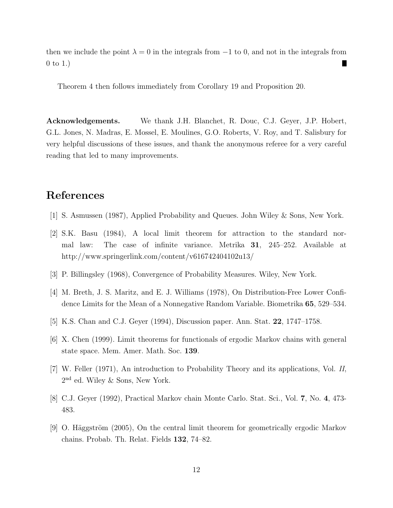then we include the point  $\lambda = 0$  in the integrals from  $-1$  to 0, and not in the integrals from 0 to 1.)

Theorem 4 then follows immediately from Corollary 19 and Proposition 20.

Acknowledgements. We thank J.H. Blanchet, R. Douc, C.J. Geyer, J.P. Hobert, G.L. Jones, N. Madras, E. Mossel, E. Moulines, G.O. Roberts, V. Roy, and T. Salisbury for very helpful discussions of these issues, and thank the anonymous referee for a very careful reading that led to many improvements.

### References

- [1] S. Asmussen (1987), Applied Probability and Queues. John Wiley & Sons, New York.
- [2] S.K. Basu (1984), A local limit theorem for attraction to the standard normal law: The case of infinite variance. Metrika 31, 245–252. Available at http://www.springerlink.com/content/v616742404102u13/
- [3] P. Billingsley (1968), Convergence of Probability Measures. Wiley, New York.
- [4] M. Breth, J. S. Maritz, and E. J. Williams (1978), On Distribution-Free Lower Confidence Limits for the Mean of a Nonnegative Random Variable. Biometrika 65, 529–534.
- [5] K.S. Chan and C.J. Geyer (1994), Discussion paper. Ann. Stat. 22, 1747–1758.
- [6] X. Chen (1999). Limit theorems for functionals of ergodic Markov chains with general state space. Mem. Amer. Math. Soc. 139.
- [7] W. Feller (1971), An introduction to Probability Theory and its applications, Vol. II, 2 nd ed. Wiley & Sons, New York.
- [8] C.J. Geyer (1992), Practical Markov chain Monte Carlo. Stat. Sci., Vol. 7, No. 4, 473- 483.
- [9] O. Häggström  $(2005)$ , On the central limit theorem for geometrically ergodic Markov chains. Probab. Th. Relat. Fields 132, 74–82.